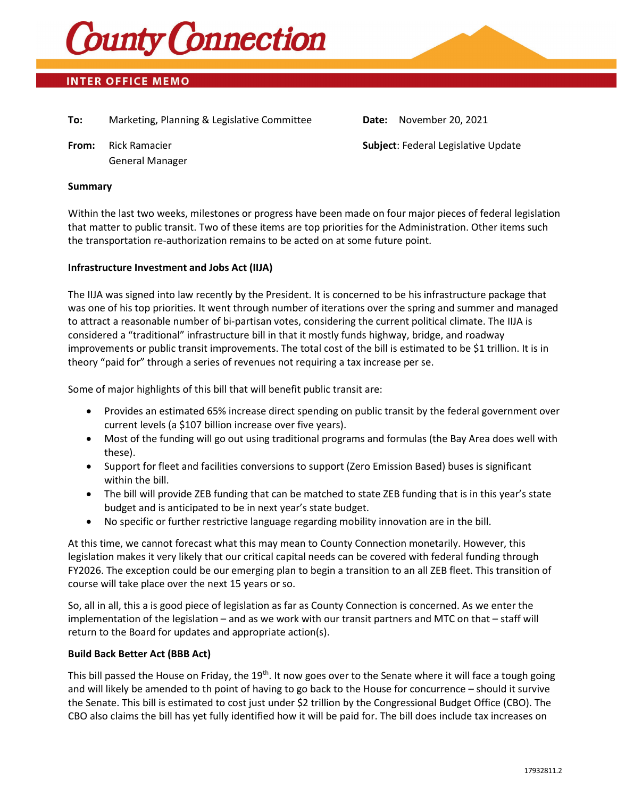

# **INTER OFFICE MEMO**

**To:** Marketing, Planning & Legislative Committee **Date:** November 20, 2021

General Manager

**From:** Rick Ramacier **Subject**: Federal Legislative Update

#### **Summary**

Within the last two weeks, milestones or progress have been made on four major pieces of federal legislation that matter to public transit. Two of these items are top priorities for the Administration. Other items such the transportation re-authorization remains to be acted on at some future point.

#### **Infrastructure Investment and Jobs Act (IIJA)**

The IIJA was signed into law recently by the President. It is concerned to be his infrastructure package that was one of his top priorities. It went through number of iterations over the spring and summer and managed to attract a reasonable number of bi-partisan votes, considering the current political climate. The IIJA is considered a "traditional" infrastructure bill in that it mostly funds highway, bridge, and roadway improvements or public transit improvements. The total cost of the bill is estimated to be \$1 trillion. It is in theory "paid for" through a series of revenues not requiring a tax increase per se.

Some of major highlights of this bill that will benefit public transit are:

- Provides an estimated 65% increase direct spending on public transit by the federal government over current levels (a \$107 billion increase over five years).
- Most of the funding will go out using traditional programs and formulas (the Bay Area does well with these).
- Support for fleet and facilities conversions to support (Zero Emission Based) buses is significant within the bill.
- The bill will provide ZEB funding that can be matched to state ZEB funding that is in this year's state budget and is anticipated to be in next year's state budget.
- No specific or further restrictive language regarding mobility innovation are in the bill.

At this time, we cannot forecast what this may mean to County Connection monetarily. However, this legislation makes it very likely that our critical capital needs can be covered with federal funding through FY2026. The exception could be our emerging plan to begin a transition to an all ZEB fleet. This transition of course will take place over the next 15 years or so.

So, all in all, this a is good piece of legislation as far as County Connection is concerned. As we enter the implementation of the legislation – and as we work with our transit partners and MTC on that – staff will return to the Board for updates and appropriate action(s).

## **Build Back Better Act (BBB Act)**

This bill passed the House on Friday, the 19<sup>th</sup>. It now goes over to the Senate where it will face a tough going and will likely be amended to th point of having to go back to the House for concurrence – should it survive the Senate. This bill is estimated to cost just under \$2 trillion by the Congressional Budget Office (CBO). The CBO also claims the bill has yet fully identified how it will be paid for. The bill does include tax increases on